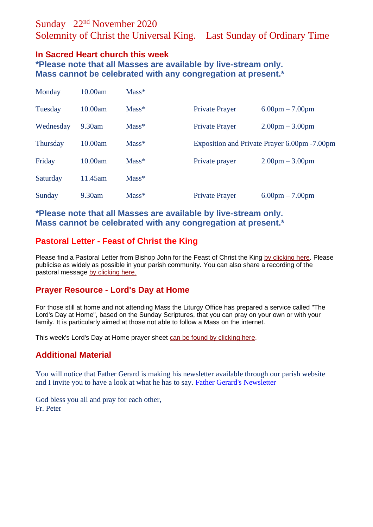# Sunday 22nd November 2020

Solemnity of Christ the Universal King. Last Sunday of Ordinary Time

### **In Sacred Heart church this week**

**\*Please note that all Masses are available by live-stream only. Mass cannot be celebrated with any congregation at present.\***

| Monday          | 10.00am | $Mass*$ |                                               |                                   |
|-----------------|---------|---------|-----------------------------------------------|-----------------------------------|
| Tuesday         | 10.00am | $Mass*$ | <b>Private Prayer</b>                         | $6.00 \text{pm} - 7.00 \text{pm}$ |
| Wednesday       | 9.30am  | $Mass*$ | <b>Private Prayer</b>                         | $2.00 \text{pm} - 3.00 \text{pm}$ |
| <b>Thursday</b> | 10.00am | $Mass*$ | Exposition and Private Prayer 6.00pm - 7.00pm |                                   |
| Friday          | 10.00am | $Mass*$ | Private prayer                                | $2.00 \text{pm} - 3.00 \text{pm}$ |
| Saturday        | 11.45am | $Mass*$ |                                               |                                   |
| Sunday          | 9.30am  | $Mass*$ | <b>Private Prayer</b>                         | $6.00 \text{pm} - 7.00 \text{pm}$ |

**\*Please note that all Masses are available by live-stream only. Mass cannot be celebrated with any congregation at present.\***

## **Pastoral Letter - Feast of Christ the King**

Please find a Pastoral Letter from Bishop John for the Feast of Christ the King [by clicking here.](https://dioceseofsalford.us6.list-manage.com/track/click?u=76e219dab8653b775ba8aac4c&id=eb6a42f76d&e=5ce69633f0) Please publicise as widely as possible in your parish community. You can also share a recording of the pastoral message [by clicking here.](https://dioceseofsalford.us6.list-manage.com/track/click?u=76e219dab8653b775ba8aac4c&id=4044fab4cb&e=5ce69633f0)

# **Prayer Resource - Lord's Day at Home**

For those still at home and not attending Mass the Liturgy Office has prepared a service called "The Lord's Day at Home", based on the Sunday Scriptures, that you can pray on your own or with your family. It is particularly aimed at those not able to follow a Mass on the internet.

This week's Lord's Day at Home prayer sheet [can be found by clicking here.](https://dioceseofsalford.us6.list-manage.com/track/click?u=76e219dab8653b775ba8aac4c&id=ad954178aa&e=5ce69633f0)

### **Additional Material**

You will notice that Father Gerard is making his newsletter available through our parish website and I invite you to have a look at what he has to say. [Father Gerard's Newsletter](https://goodshepherdpendle.org.uk/st-john-southworth-nelson/)

God bless you all and pray for each other, Fr. Peter